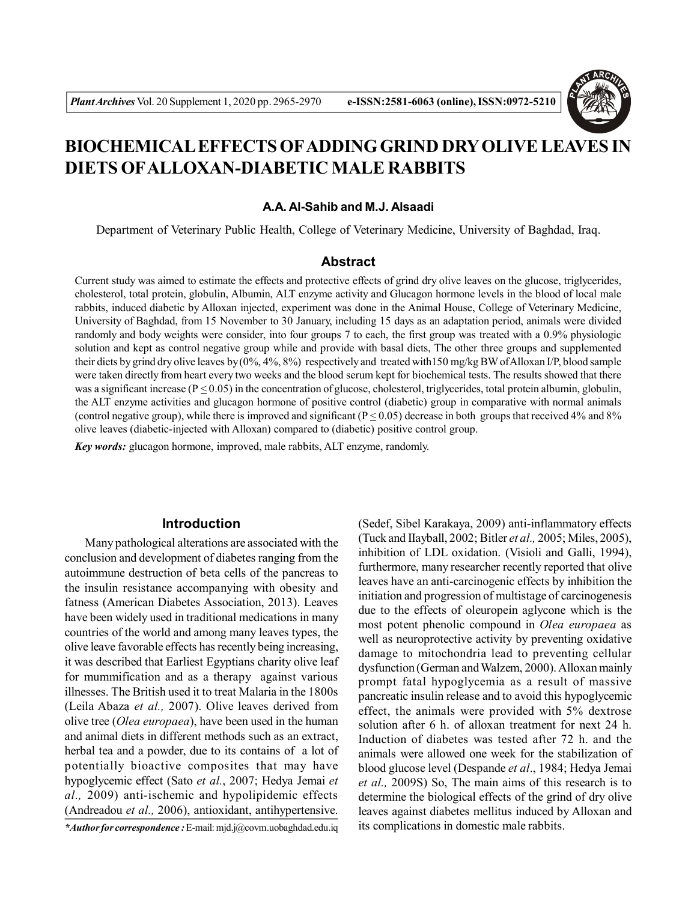

# **BIOCHEMICAL EFFECTS OFADDING GRIND DRY OLIVE LEAVES IN DIETS OFALLOXAN-DIABETIC MALE RABBITS**

#### **A.A. Al-Sahib and M.J. Alsaadi**

Department of Veterinary Public Health, College of Veterinary Medicine, University of Baghdad, Iraq.

## **Abstract**

Current study was aimed to estimate the effects and protective effects of grind dry olive leaves on the glucose, triglycerides, cholesterol, total protein, globulin, Albumin, ALT enzyme activity and Glucagon hormone levels in the blood of local male rabbits, induced diabetic by Alloxan injected, experiment was done in the Animal House, College of Veterinary Medicine, University of Baghdad, from 15 November to 30 January, including 15 days as an adaptation period, animals were divided randomly and body weights were consider, into four groups 7 to each, the first group was treated with a 0.9% physiologic solution and kept as control negative group while and provide with basal diets, The other three groups and supplemented their diets by grind dry olive leaves by (0%, 4%, 8%) respectively and treated with150 mg/kg BW of Alloxan I/P, blood sample were taken directly from heart every two weeks and the blood serum kept for biochemical tests. The results showed that there was a significant increase ( $P \le 0.05$ ) in the concentration of glucose, cholesterol, triglycerides, total protein albumin, globulin, the ALT enzyme activities and glucagon hormone of positive control (diabetic) group in comparative with normal animals (control negative group), while there is improved and significant ( $P \le 0.05$ ) decrease in both groups that received 4% and 8% olive leaves (diabetic-injected with Alloxan) compared to (diabetic) positive control group.

*Key words:* glucagon hormone, improved, male rabbits, ALT enzyme, randomly.

#### **Introduction**

Many pathological alterations are associated with the conclusion and development of diabetes ranging from the autoimmune destruction of beta cells of the pancreas to the insulin resistance accompanying with obesity and fatness (American Diabetes Association, 2013). Leaves have been widely used in traditional medications in many countries of the world and among many leaves types, the olive leave favorable effects has recently being increasing, it was described that Earliest Egyptians charity olive leaf for mummification and as a therapy against various illnesses. The British used it to treat Malaria in the 1800s (Leila Abaza *et al.,* 2007). Olive leaves derived from olive tree (*Olea europaea*), have been used in the human and animal diets in different methods such as an extract, herbal tea and a powder, due to its contains of a lot of potentially bioactive composites that may have hypoglycemic effect (Sato *et al.*, 2007; Hedya Jemai *et al.,* 2009) anti-ischemic and hypolipidemic effects (Andreadou *et al.,* 2006), antioxidant, antihypertensive.

*\*Author for correspondence :* E-mail: mjd.j@covm.uobaghdad.edu.iq

(Sedef, Sibel Karakaya, 2009) anti-inflammatory effects (Tuck and IIayball, 2002; Bitler *et al.,* 2005; Miles, 2005), inhibition of LDL oxidation. (Visioli and Galli, 1994), furthermore, many researcher recently reported that olive leaves have an anti-carcinogenic effects by inhibition the initiation and progression of multistage of carcinogenesis due to the effects of oleuropein aglycone which is the most potent phenolic compound in *Olea europaea* as well as neuroprotective activity by preventing oxidative damage to mitochondria lead to preventing cellular dysfunction (German and Walzem, 2000). Alloxan mainly prompt fatal hypoglycemia as a result of massive pancreatic insulin release and to avoid this hypoglycemic effect, the animals were provided with 5% dextrose solution after 6 h. of alloxan treatment for next 24 h. Induction of diabetes was tested after 72 h. and the animals were allowed one week for the stabilization of blood glucose level (Despande *et al*., 1984; Hedya Jemai *et al.,* 2009S) So, The main aims of this research is to determine the biological effects of the grind of dry olive leaves against diabetes mellitus induced by Alloxan and its complications in domestic male rabbits.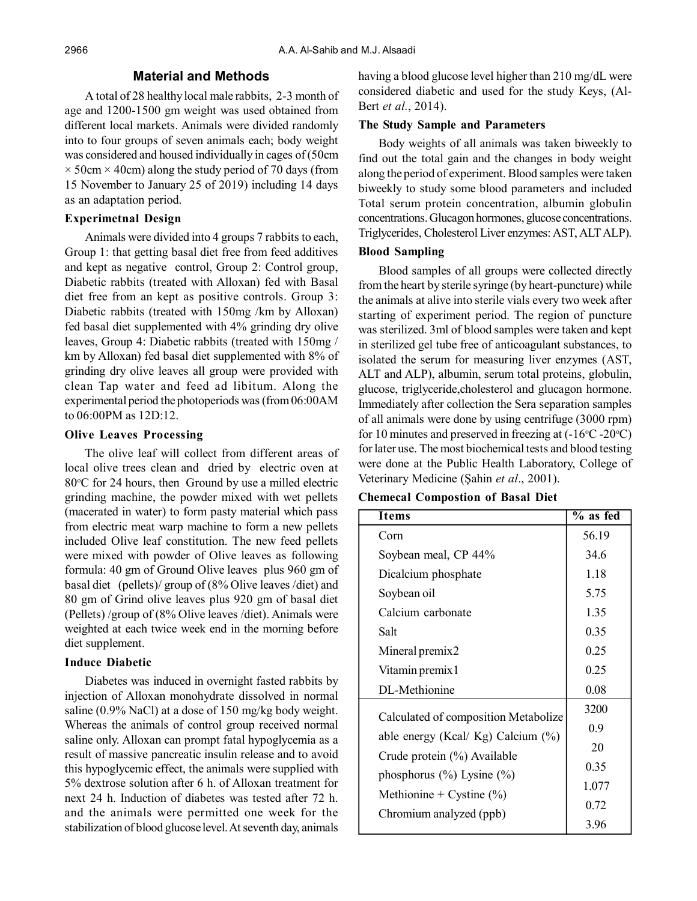# **Material and Methods**

A total of 28 healthy local male rabbits, 2-3 month of age and 1200-1500 gm weight was used obtained from different local markets. Animals were divided randomly into to four groups of seven animals each; body weight was considered and housed individually in cages of (50cm  $\times$  50cm  $\times$  40cm) along the study period of 70 days (from 15 November to January 25 of 2019) including 14 days as an adaptation period.

## **Experimetnal Design**

Animals were divided into 4 groups 7 rabbits to each, Group 1: that getting basal diet free from feed additives and kept as negative control, Group 2: Control group, Diabetic rabbits (treated with Alloxan) fed with Basal diet free from an kept as positive controls. Group 3: Diabetic rabbits (treated with 150mg /km by Alloxan) fed basal diet supplemented with 4% grinding dry olive leaves, Group 4: Diabetic rabbits (treated with 150mg / km by Alloxan) fed basal diet supplemented with 8% of grinding dry olive leaves all group were provided with clean Tap water and feed ad libitum. Along the experimental period the photoperiods was (from 06:00AM to 06:00PM as 12D:12.

# **Olive Leaves Processing**

The olive leaf will collect from different areas of local olive trees clean and dried by electric oven at  $80^{\circ}$ C for 24 hours, then Ground by use a milled electric grinding machine, the powder mixed with wet pellets (macerated in water) to form pasty material which pass from electric meat warp machine to form a new pellets included Olive leaf constitution. The new feed pellets were mixed with powder of Olive leaves as following formula: 40 gm of Ground Olive leaves plus 960 gm of basal diet (pellets)/ group of (8% Olive leaves /diet) and 80 gm of Grind olive leaves plus 920 gm of basal diet (Pellets) /group of (8% Olive leaves /diet). Animals were weighted at each twice week end in the morning before diet supplement.

## **Induce Diabetic**

Diabetes was induced in overnight fasted rabbits by injection of Alloxan monohydrate dissolved in normal saline (0.9% NaCl) at a dose of 150 mg/kg body weight. Whereas the animals of control group received normal saline only. Alloxan can prompt fatal hypoglycemia as a result of massive pancreatic insulin release and to avoid this hypoglycemic effect, the animals were supplied with 5% dextrose solution after 6 h. of Alloxan treatment for next 24 h. Induction of diabetes was tested after 72 h. and the animals were permitted one week for the stabilization of blood glucose level. At seventh day, animals

having a blood glucose level higher than 210 mg/dL were considered diabetic and used for the study Keys, (Al-Bert *et al.*, 2014).

#### **The Study Sample and Parameters**

Body weights of all animals was taken biweekly to find out the total gain and the changes in body weight along the period of experiment. Blood samples were taken biweekly to study some blood parameters and included Total serum protein concentration, albumin globulin concentrations. Glucagon hormones, glucose concentrations. Triglycerides, Cholesterol Liver enzymes: AST, ALT ALP).

# **Blood Sampling**

Blood samples of all groups were collected directly from the heart by sterile syringe (by heart-puncture) while the animals at alive into sterile vials every two week after starting of experiment period. The region of puncture was sterilized. 3ml of blood samples were taken and kept in sterilized gel tube free of anticoagulant substances, to isolated the serum for measuring liver enzymes (AST, ALT and ALP), albumin, serum total proteins, globulin, glucose, triglyceride,cholesterol and glucagon hormone. Immediately after collection the Sera separation samples of all animals were done by using centrifuge (3000 rpm) for 10 minutes and preserved in freezing at  $(-16^{\circ}C - 20^{\circ}C)$ for later use. The most biochemical tests and blood testing were done at the Public Health Laboratory, College of Veterinary Medicine (Şahin *et al*., 2001).

#### **Chemecal Compostion of Basal Diet**

| Items                                | % as fed |
|--------------------------------------|----------|
| Corn                                 | 56.19    |
| Soybean meal, CP 44%                 | 34.6     |
| Dicalcium phosphate                  | 1.18     |
| Soybean oil                          | 5.75     |
| Calcium carbonate                    | 1.35     |
| Salt                                 | 0.35     |
| Mineral premix2                      | 0.25     |
| Vitamin premix 1                     | 0.25     |
| DL-Methionine                        | 0.08     |
| Calculated of composition Metabolize | 3200     |
| able energy (Kcal/ Kg) Calcium (%)   | 0.9      |
| Crude protein (%) Available          | 20       |
| phosphorus $(\% )$ Lysine $(\% )$    | 0.35     |
| Methionine + Cystine $(\% )$         | 1.077    |
| Chromium analyzed (ppb)              | 0.72     |
|                                      | 3.96     |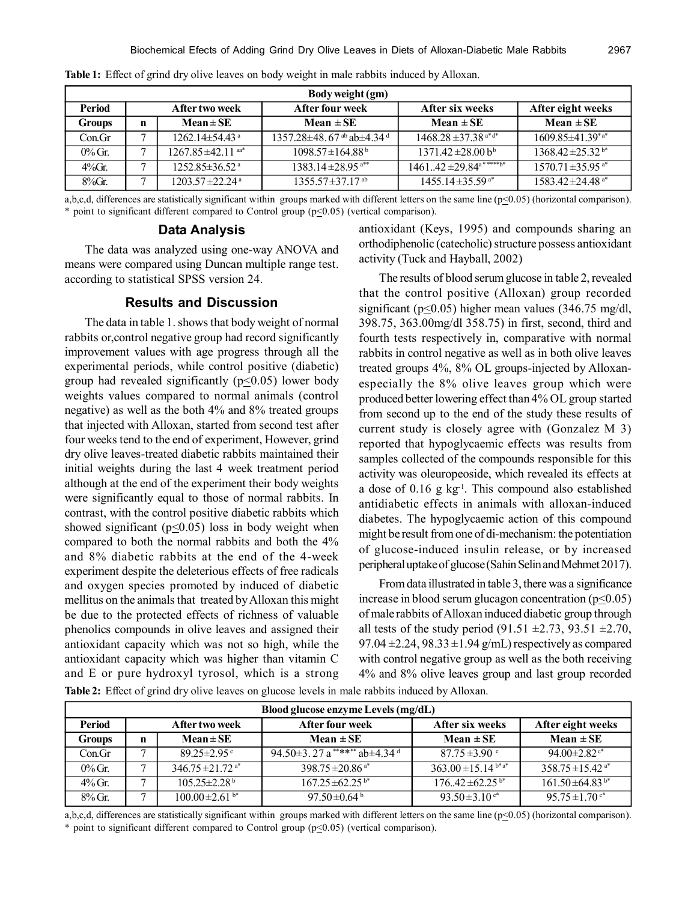| Body weight (gm) |             |                                    |                                    |                                                     |                                   |
|------------------|-------------|------------------------------------|------------------------------------|-----------------------------------------------------|-----------------------------------|
| Period           |             | After two week                     | After four week                    | After six weeks                                     | After eight weeks                 |
| <b>Groups</b>    | $\mathbf n$ | $Mean \pm SE$                      | Mean $\pm$ SE                      | Mean $\pm$ SE                                       | Mean $\pm$ SE                     |
| Con.Gr           | ⇁           | $1262.14\pm54.43$ <sup>a</sup>     | $1357.28\pm48.67$ ab $\pm4.34$ d   | $1468.28 \pm 37.38$ a <sup>*d*</sup>                | $1609.85 \pm 41.39^{*}$ a*        |
| $0\%$ Gr.        |             | $1267.85 \pm 42.11$ <sup>aa*</sup> | $1098.57 \pm 164.88^{\mathrm{b}}$  | $1371.42 \pm 28.00 b^b$                             | $1368.42 \pm 25.32$ <sup>b*</sup> |
| $4\%$ Gr.        |             | $1252.85 \pm 36.52$ <sup>a</sup>   | $1383.14 \pm 28.95$ <sup>a**</sup> | $146142 \pm 29.84$ <sup>a*****</sup> b <sup>*</sup> | $1570.71 \pm 35.95$ <sup>a*</sup> |
| $8\%$ Gr.        |             | $1203.57 \pm 22.24$ <sup>a</sup>   | $1355.57 \pm 37.17$ <sup>ab</sup>  | $1455.14 \pm 35.59$ <sup>a*</sup>                   | $1583.42 \pm 24.48$ <sup>a*</sup> |

**Table 1:** Effect of grind dry olive leaves on body weight in male rabbits induced by Alloxan.

a,b,c,d, differences are statistically significant within groups marked with different letters on the same line ( $p \le 0.05$ ) (horizontal comparison). \* point to significant different compared to Control group ( $p \le 0.05$ ) (vertical comparison).

## **Data Analysis**

The data was analyzed using one-way ANOVA and means were compared using Duncan multiple range test. according to statistical SPSS version 24.

#### **Results and Discussion**

The data in table 1. shows that body weight of normal rabbits or,control negative group had record significantly improvement values with age progress through all the experimental periods, while control positive (diabetic) group had revealed significantly ( $p \le 0.05$ ) lower body weights values compared to normal animals (control negative) as well as the both 4% and 8% treated groups that injected with Alloxan, started from second test after four weeks tend to the end of experiment, However, grind dry olive leaves-treated diabetic rabbits maintained their initial weights during the last 4 week treatment period although at the end of the experiment their body weights were significantly equal to those of normal rabbits. In contrast, with the control positive diabetic rabbits which showed significant ( $p<0.05$ ) loss in body weight when compared to both the normal rabbits and both the 4% and 8% diabetic rabbits at the end of the 4-week experiment despite the deleterious effects of free radicals and oxygen species promoted by induced of diabetic mellitus on the animals that treated by Alloxan this might be due to the protected effects of richness of valuable phenolics compounds in olive leaves and assigned their antioxidant capacity which was not so high, while the antioxidant capacity which was higher than vitamin C and E or pure hydroxyl tyrosol, which is a strong **Table 2:** Effect of grind dry olive leaves on glucose levels in male rabbits induced by Alloxan.

antioxidant (Keys, 1995) and compounds sharing an orthodiphenolic (catecholic) structure possess antioxidant activity (Tuck and Hayball, 2002)

The results of blood serum glucose in table 2, revealed that the control positive (Alloxan) group recorded significant ( $p \le 0.05$ ) higher mean values (346.75 mg/dl, 398.75, 363.00mg/dl 358.75) in first, second, third and fourth tests respectively in, comparative with normal rabbits in control negative as well as in both olive leaves treated groups 4%, 8% OL groups-injected by Alloxanespecially the 8% olive leaves group which were produced better lowering effect than 4% OL group started from second up to the end of the study these results of current study is closely agree with (Gonzalez M 3) reported that hypoglycaemic effects was results from samples collected of the compounds responsible for this activity was oleuropeoside, which revealed its effects at a dose of  $0.16$  g kg<sup>-1</sup>. This compound also established antidiabetic effects in animals with alloxan-induced diabetes. The hypoglycaemic action of this compound might be result from one of di-mechanism: the potentiation of glucose-induced insulin release, or by increased peripheral uptake of glucose (Sahin Selin and Mehmet 2017).

From data illustrated in table 3, there was a significance increase in blood serum glucagon concentration ( $p \leq 0.05$ ) of male rabbits of Alloxan induced diabetic group through all tests of the study period (91.51  $\pm$ 2.73, 93.51  $\pm$ 2.70, 97.04  $\pm$ 2.24, 98.33  $\pm$ 1.94 g/mL) respectively as compared with control negative group as well as the both receiving 4% and 8% olive leaves group and last group recorded

| Blood glucose enzyme Levels (mg/dL) |                                   |                                  |                                           |                                 |                                  |
|-------------------------------------|-----------------------------------|----------------------------------|-------------------------------------------|---------------------------------|----------------------------------|
| Period                              | After four week<br>After two week |                                  |                                           | After six weeks                 | After eight weeks                |
| <b>Groups</b>                       | n                                 | $Mean \pm SE$                    | Mean $\pm$ SE                             | $Mean \pm SE$                   | Mean $\pm$ SE                    |
| Con.Gr                              |                                   | $89.25 \pm 2.95$ °               | 94.50 $\pm$ 3.27 a ****** ab $\pm$ 4.34 d | $87.75 \pm 3.90$ °              | $94.00 \pm 2.82$ <sup>c*</sup>   |
| $0\%$ Gr.                           |                                   | $346.75 \pm 21.72$ <sup>a*</sup> | $398.75 \pm 20.86$ <sup>a*</sup>          | 363.00 ± 15.14 $b^*a^*$         | $358.75 \pm 15.42$ <sup>a*</sup> |
| $4\%$ Gr.                           |                                   | $105.25 \pm 2.28$ <sup>b</sup>   | $167.25 \pm 62.25$ <sup>b*</sup>          | $176.42 \pm 62.25^{b*}$         | $161.50 \pm 64.83$ <sup>b*</sup> |
| $8\%$ Gr.                           | ⇁                                 | $100.00 \pm 2.61$ b*             | 97.50 $\pm$ 0.64 $^{\circ}$               | 93.50 $\pm$ 3.10 $\mathrm{e}^*$ | $95.75 \pm 1.70$ c*              |

a,b,c,d, differences are statistically significant within groups marked with different letters on the same line ( $p \le 0.05$ ) (horizontal comparison). \* point to significant different compared to Control group ( $p \le 0.05$ ) (vertical comparison).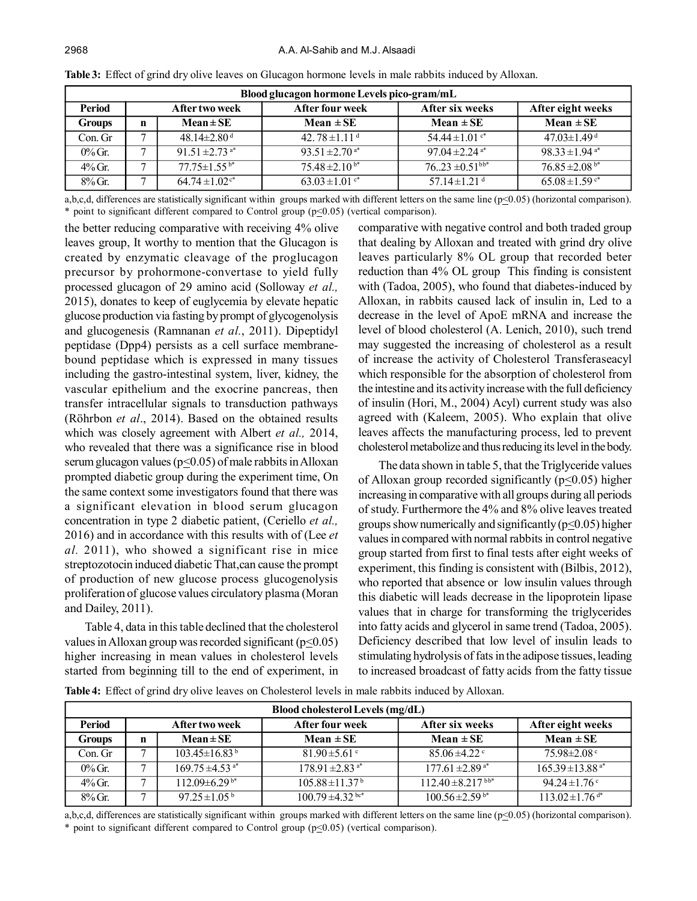| Blood glucagon hormone Levels pico-gram/mL |   |                                |                                |                                 |                                |
|--------------------------------------------|---|--------------------------------|--------------------------------|---------------------------------|--------------------------------|
| Period                                     |   | After two week                 | After four week                | After six weeks                 | After eight weeks              |
| <b>Groups</b>                              | n | $Mean \pm SE$                  | Mean $\pm$ SE                  | Mean $\pm$ SE                   | Mean $\pm$ SE                  |
| Con. Gr                                    |   | $48.14 \pm 2.80$ <sup>d</sup>  | 42.78 $\pm$ 1.11 <sup>d</sup>  | 54.44 $\pm$ 1.01 $\degree$      | $47.03 \pm 1.49$ <sup>d</sup>  |
| $0\%$ Gr.                                  |   | $91.51 \pm 2.73$ <sup>a*</sup> | 93.51 $\pm$ 2.70 <sup>a*</sup> | 97.04 $\pm$ 2.24 <sup>a*</sup>  | $98.33 \pm 1.94$ <sup>a*</sup> |
| $4\%$ Gr.                                  |   | $77.75 \pm 1.55$ b*            | $75.48 \pm 2.10^{b*}$          | $76.23 \pm 0.51$ <sup>bb*</sup> | $76.85 \pm 2.08$ <sup>b*</sup> |
| $8\%$ Gr.                                  |   | $64.74 \pm 1.02$ <sup>c*</sup> | $63.03 \pm 1.01$ c*            | 57.14 $\pm$ 1.21 <sup>d</sup>   | $65.08 \pm 1.59$ <sup>c*</sup> |

**Table 3:** Effect of grind dry olive leaves on Glucagon hormone levels in male rabbits induced by Alloxan.

a,b,c,d, differences are statistically significant within groups marked with different letters on the same line ( $p \le 0.05$ ) (horizontal comparison). \* point to significant different compared to Control group ( $p \le 0.05$ ) (vertical comparison).

the better reducing comparative with receiving 4% olive leaves group, It worthy to mention that the Glucagon is created by enzymatic cleavage of the proglucagon precursor by prohormone-convertase to yield fully processed glucagon of 29 amino acid (Solloway *et al.,* 2015), donates to keep of euglycemia by elevate hepatic glucose production via fasting by prompt of glycogenolysis and glucogenesis (Ramnanan *et al.*, 2011). Dipeptidyl peptidase (Dpp4) persists as a cell surface membranebound peptidase which is expressed in many tissues including the gastro-intestinal system, liver, kidney, the vascular epithelium and the exocrine pancreas, then transfer intracellular signals to transduction pathways (Röhrbon *et al*., 2014). Based on the obtained results which was closely agreement with Albert *et al.,* 2014, who revealed that there was a significance rise in blood serum glucagon values ( $p \le 0.05$ ) of male rabbits in Alloxan prompted diabetic group during the experiment time, On the same context some investigators found that there was a significant elevation in blood serum glucagon concentration in type 2 diabetic patient, (Ceriello *et al.,* 2016) and in accordance with this results with of (Lee *et al.* 2011), who showed a significant rise in mice streptozotocin induced diabetic That,can cause the prompt of production of new glucose process glucogenolysis proliferation of glucose values circulatory plasma (Moran and Dailey, 2011).

Table 4, data in this table declined that the cholesterol values in Alloxan group was recorded significant ( $p<0.05$ ) higher increasing in mean values in cholesterol levels started from beginning till to the end of experiment, in comparative with negative control and both traded group that dealing by Alloxan and treated with grind dry olive leaves particularly 8% OL group that recorded beter reduction than 4% OL group This finding is consistent with (Tadoa, 2005), who found that diabetes-induced by Alloxan, in rabbits caused lack of insulin in, Led to a decrease in the level of ApoE mRNA and increase the level of blood cholesterol (A. Lenich, 2010), such trend may suggested the increasing of cholesterol as a result of increase the activity of Cholesterol Transferaseacyl which responsible for the absorption of cholesterol from the intestine and its activity increase with the full deficiency of insulin (Hori, M., 2004) Acyl) current study was also agreed with (Kaleem, 2005). Who explain that olive leaves affects the manufacturing process, led to prevent cholesterol metabolize and thus reducing its level in the body.

The data shown in table 5, that the Triglyceride values of Alloxan group recorded significantly  $(p<0.05)$  higher increasing in comparative with all groups during all periods of study. Furthermore the 4% and 8% olive leaves treated groups show numerically and significantly ( $p \le 0.05$ ) higher values in compared with normal rabbits in control negative group started from first to final tests after eight weeks of experiment, this finding is consistent with (Bilbis, 2012), who reported that absence or low insulin values through this diabetic will leads decrease in the lipoprotein lipase values that in charge for transforming the triglycerides into fatty acids and glycerol in same trend (Tadoa, 2005). Deficiency described that low level of insulin leads to stimulating hydrolysis of fats in the adipose tissues, leading to increased broadcast of fatty acids from the fatty tissue

**Table 4:** Effect of grind dry olive leaves on Cholesterol levels in male rabbits induced by Alloxan.

| Blood cholesterol Levels $(mg/dL)$ |                                                                           |                                 |                                 |                                 |                                  |
|------------------------------------|---------------------------------------------------------------------------|---------------------------------|---------------------------------|---------------------------------|----------------------------------|
| Period                             | After six weeks<br>After eight weeks<br>After two week<br>After four week |                                 |                                 |                                 |                                  |
| <b>Groups</b>                      | n                                                                         | $Mean \pm SE$                   | Mean $\pm$ SE                   | $Mean \pm SE$                   | Mean $\pm$ SE                    |
| Con. Gr                            | ⇁                                                                         | $103.45 \pm 16.83^{\mathrm{b}}$ | $81.90 \pm 5.61$ c              | $85.06 \pm 4.22$                | $75.98 \pm 2.08$                 |
| $0\%$ Gr.                          | −                                                                         | $169.75 \pm 4.53$ <sup>a*</sup> | $178.91 \pm 2.83$ <sup>a*</sup> | $177.61 \pm 2.89$ <sup>a*</sup> | $165.39 \pm 13.88$ <sup>a*</sup> |
| $4\%$ Gr.                          | −                                                                         | $112.09\pm6.29^{b*}$            | $105.88 \pm 11.37^{\mathrm{b}}$ | $112.40 \pm 8.217$ bb*          | 94.24 ± 1.76 $\degree$           |
| $8\%$ Gr.                          | −                                                                         | 97.25 $\pm$ 1.05 <sup>b</sup>   | $100.79 \pm 4.32$ bc*           | $100.56 \pm 2.59$ <sup>b*</sup> | $113.02 \pm 1.76$ <sup>d*</sup>  |

a,b,c,d, differences are statistically significant within groups marked with different letters on the same line ( $p \le 0.05$ ) (horizontal comparison). \* point to significant different compared to Control group ( $p \le 0.05$ ) (vertical comparison).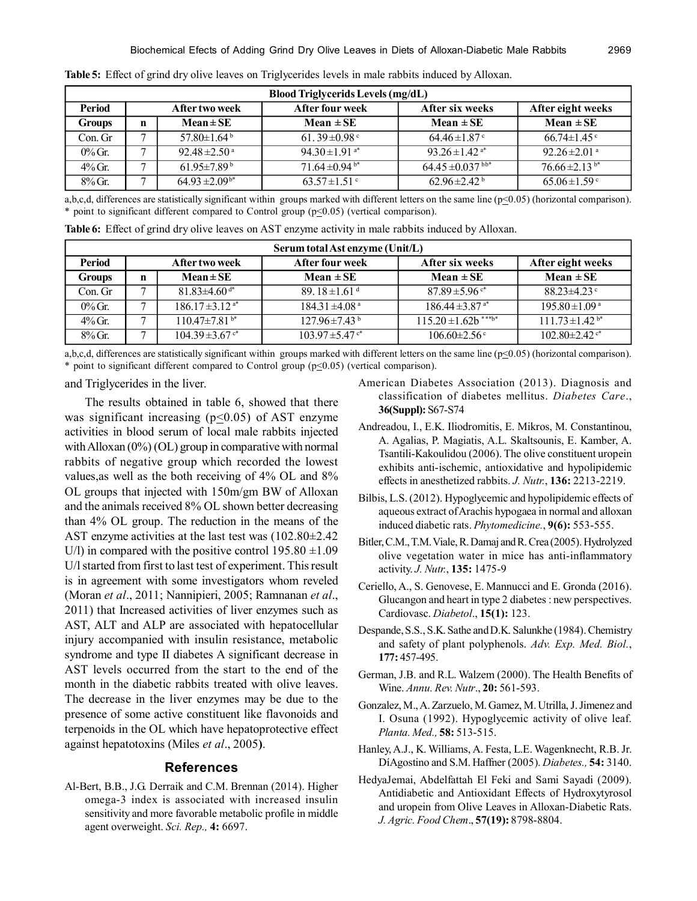| <b>Blood Triglycerids Levels (mg/dL)</b> |   |                               |                            |                                   |                               |
|------------------------------------------|---|-------------------------------|----------------------------|-----------------------------------|-------------------------------|
| <b>Period</b>                            |   | After two week                | <b>After four week</b>     | After six weeks                   | After eight weeks             |
| Groups                                   | n | $Mean \pm SE$                 | Mean $\pm$ SE              | Mean $\pm$ SE                     | Mean $\pm$ SE                 |
| Con. Gr                                  |   | 57.80 $\pm$ 1.64 $^{\rm b}$   | 61.39 $\pm$ 0.98 $\degree$ | $64.46 \pm 1.87$                  | $66.74 \pm 1.45$              |
| $0\%$ Gr.                                |   | $92.48 \pm 2.50$ <sup>a</sup> | 94.30 ± 1.91 $a^*$         | 93.26 ± 1.42 <sup>a*</sup>        | 92.26 $\pm$ 2.01 $\mathrm{a}$ |
| $4\%$ Gr.                                |   | $61.95 \pm 7.89^{\mathrm{b}}$ | 71.64 $\pm$ 0.94 $b^*$     | $64.45 \pm 0.037$ bb <sup>*</sup> | $76.66 \pm 2.13^{b*}$         |
| $8\%$ Gr.                                |   | $64.93 \pm 2.09^{b*}$         | $63.57 \pm 1.51$ °         | $62.96 \pm 2.42^{\mathrm{b}}$     | $65.06 \pm 1.59$ °            |

**Table 5:** Effect of grind dry olive leaves on Triglycerides levels in male rabbits induced by Alloxan.

a,b,c,d, differences are statistically significant within groups marked with different letters on the same line ( $p \le 0.05$ ) (horizontal comparison). \* point to significant different compared to Control group ( $p \le 0.05$ ) (vertical comparison).

| Serum total Ast enzyme (Unit/L) |   |                                                                                  |                                |                                 |                                 |  |  |
|---------------------------------|---|----------------------------------------------------------------------------------|--------------------------------|---------------------------------|---------------------------------|--|--|
| Period                          |   | <b>After four week</b><br>After six weeks<br>After eight weeks<br>After two week |                                |                                 |                                 |  |  |
| <b>Groups</b>                   | n | $Mean \pm SE$                                                                    | Mean $\pm$ SE                  | Mean $\pm$ SE                   | $Mean \pm SE$                   |  |  |
| Con. Gr                         | ⇁ | $81.83\pm4.60$ d*                                                                | 89.18 $\pm$ 1.61 <sup>d</sup>  | $87.89 \pm 5.96$ c*             | $88.23 \pm 4.23$                |  |  |
| $0\%$ Gr.                       | ⇁ | $186.17 \pm 3.12$ <sup>a*</sup>                                                  | $184.31 \pm 4.08$ <sup>a</sup> | $186.44 \pm 3.87$ <sup>a*</sup> | $195.80 \pm 1.09$ <sup>a</sup>  |  |  |
| $4\%$ Gr.                       | ⇁ | $110.47 \pm 7.81$ <sup>b*</sup>                                                  | $127.96 \pm 7.43$ <sup>b</sup> | $115.20 \pm 1.62b^{***b*}$      | $111.73 \pm 1.42$ <sup>b*</sup> |  |  |
| $8\%$ Gr.                       | ⇁ | $104.39 \pm 3.67$ c*                                                             | $103.97 \pm 5.47$ c*           | $106.60 \pm 2.56$ c             | $102.80 \pm 2.42$ c*            |  |  |

**Table 6:** Effect of grind dry olive leaves on AST enzyme activity in male rabbits induced by Alloxan.

a,b,c,d, differences are statistically significant within groups marked with different letters on the same line ( $p \le 0.05$ ) (horizontal comparison). \* point to significant different compared to Control group ( $p \le 0.05$ ) (vertical comparison).

and Triglycerides in the liver.

The results obtained in table 6, showed that there was significant increasing ( $p \le 0.05$ ) of AST enzyme activities in blood serum of local male rabbits injected with Alloxan  $(0\%)$  (OL) group in comparative with normal rabbits of negative group which recorded the lowest values,as well as the both receiving of 4% OL and 8% OL groups that injected with 150m/gm BW of Alloxan and the animals received 8% OL shown better decreasing than 4% OL group. The reduction in the means of the AST enzyme activities at the last test was (102.80±2.42 U/l) in compared with the positive control  $195.80 \pm 1.09$ U/l started from first to last test of experiment. This result is in agreement with some investigators whom reveled (Moran *et al*., 2011; Nannipieri, 2005; Ramnanan *et al*., 2011) that Increased activities of liver enzymes such as AST, ALT and ALP are associated with hepatocellular injury accompanied with insulin resistance, metabolic syndrome and type II diabetes A significant decrease in AST levels occurred from the start to the end of the month in the diabetic rabbits treated with olive leaves. The decrease in the liver enzymes may be due to the presence of some active constituent like flavonoids and terpenoids in the OL which have hepatoprotective effect against hepatotoxins (Miles *et al*., 2005**)**.

#### **References**

Al-Bert, B.B., J.G. Derraik and C.M. Brennan (2014). Higher omega-3 index is associated with increased insulin sensitivity and more favorable metabolic profile in middle agent overweight. *Sci. Rep.,* **4:** 6697.

- American Diabetes Association (2013). Diagnosis and classification of diabetes mellitus. *Diabetes Care*., **36(Suppl):** S67-S74
- Andreadou, I., E.K. Iliodromitis, E. Mikros, M. Constantinou, A. Agalias, P. Magiatis, A.L. Skaltsounis, E. Kamber, A. Tsantili-Kakoulidou (2006). The olive constituent uropein exhibits anti-ischemic, antioxidative and hypolipidemic effects in anesthetized rabbits. *J. Nutr.*, **136:** 2213-2219.
- Bilbis, L.S. (2012). Hypoglycemic and hypolipidemic effects of aqueous extract of Arachis hypogaea in normal and alloxan induced diabetic rats. *Phytomedicine.*, **9(6):** 553-555.
- Bitler, C.M., T.M. Viale, R. Damaj and R. Crea (2005). Hydrolyzed olive vegetation water in mice has anti-inflammatory activity. *J. Nutr.*, **135:** 1475-9
- Ceriello, A., S. Genovese, E. Mannucci and E. Gronda (2016). Glucangon and heart in type 2 diabetes : new perspectives. Cardiovasc. *Diabetol*., **15(1):** 123.
- Despande, S.S., S.K. Sathe and D.K. Salunkhe (1984). Chemistry and safety of plant polyphenols. *Adv. Exp. Med. Biol.*, **177:** 457-495.
- German, J.B. and R.L. Walzem (2000). The Health Benefits of Wine. *Annu. Rev. Nutr*., **20:** 561-593.
- Gonzalez, M., A. Zarzuelo, M. Gamez, M. Utrilla, J. Jimenez and I. Osuna (1992). Hypoglycemic activity of olive leaf. *Planta. Med.,* **58:** 513-515.
- Hanley, A.J., K. Williams, A. Festa, L.E. Wagenknecht, R.B. Jr. DíAgostino and S.M. Haffner (2005). *Diabetes.,* **54:** 3140.
- HedyaJemai, Abdelfattah El Feki and Sami Sayadi (2009). Antidiabetic and Antioxidant Effects of Hydroxytyrosol and uropein from Olive Leaves in Alloxan-Diabetic Rats. *J. Agric. Food Chem*., **57(19):** 8798-8804.